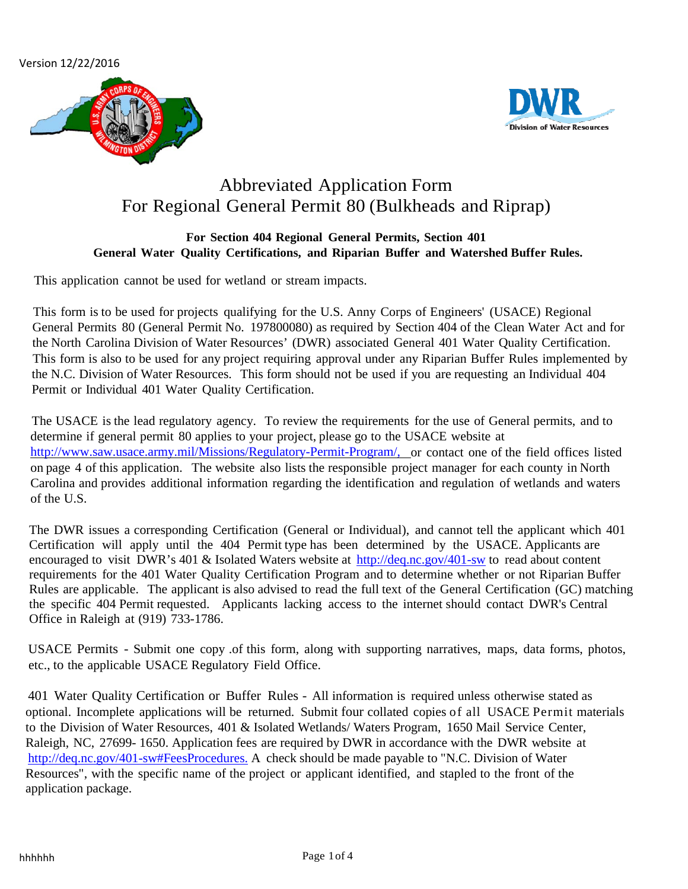Version 12/22/2016





# Abbreviated Application Form For Regional General Permit 80 (Bulkheads and Riprap)

### **For Section 404 Regional General Permits, Section 401 General Water Quality Certifications, and Riparian Buffer and Watershed Buffer Rules.**

This application cannot be used for wetland or stream impacts.

This form is to be used for projects qualifying for the U.S. Anny Corps of Engineers' (USACE) Regional General Permits 80 (General Permit No. 197800080) as required by Section 404 of the Clean Water Act and for the North Carolina Division of Water Resources' (DWR) associated General 401 Water Quality Certification. This form is also to be used for any project requiring approval under any Riparian Buffer Rules implemented by the N.C. Division of Water Resources. This form should not be used if you are requesting an Individual 404 Permit or Individual 401 Water Quality Certification.

The USACE is the lead regulatory agency. To review the requirements for the use of General permits, and to determine if general permit 80 applies to your project, please go to the USACE website at [http://www.saw.usace.army.mil/Missions/Regulatory-Permit-Program/, o](http://www.saw.usace.army.mil/Missions/Regulatory-Permit-Program/,)r contact one of the field offices listed on page 4 of this application. The website also lists the responsible project manager for each county in North Carolina and provides additional information regarding the identification and regulation of wetlands and waters of the U.S.

The DWR issues a corresponding Certification (General or Individual), and cannot tell the applicant which 401 Certification will apply until the 404 Permit type has been determined by the USACE. Applicants are encouraged to visit DWR's 401 & Isolated Waters website at <http://deq.nc.gov/401-sw> to read about content requirements for the 401 Water Quality Certification Program and to determine whether or not Riparian Buffer Rules are applicable. The applicant is also advised to read the full text of the General Certification (GC) matching the specific 404 Permit requested. Applicants lacking access to the internet should contact DWR's Central Office in Raleigh at (919) 733-1786.

USACE Permits - Submit one copy .of this form, along with supporting narratives, maps, data forms, photos, etc., to the applicable USACE Regulatory Field Office.

401 Water Quality Certification or Buffer Rules - All information is required unless otherwise stated as optional. Incomplete applications will be returned. Submit four collated copies of all USACE Permit materials to the Division of Water Resources, 401 & Isolated Wetlands/ Waters Program, 1650 Mail Service Center, Raleigh, NC, 27699- 1650. Application fees are required by DWR in accordance with the DWR website at [http://deq.nc.gov/401-sw#FeesProcedures.](http://h2o.ehnr.state.nc.us/ncwetlands/fees.html.) A check should be made payable to "N.C. Division of Water Resources", with the specific name of the project or applicant identified, and stapled to the front of the application package.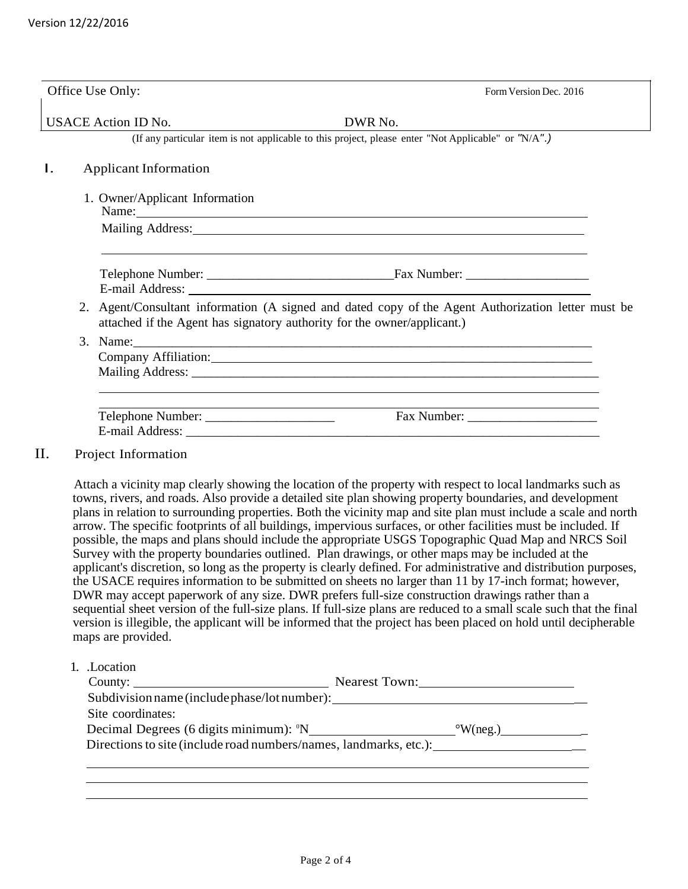|    | Office Use Only:               | Form Version Dec. 2016                                                                                                                                                                                                         |
|----|--------------------------------|--------------------------------------------------------------------------------------------------------------------------------------------------------------------------------------------------------------------------------|
|    | <b>USACE Action ID No.</b>     | DWR No.                                                                                                                                                                                                                        |
|    |                                | (If any particular item is not applicable to this project, please enter "Not Applicable" or "N/A".)                                                                                                                            |
| Ι. | <b>Applicant Information</b>   |                                                                                                                                                                                                                                |
|    | 1. Owner/Applicant Information | Name:                                                                                                                                                                                                                          |
|    |                                | Mailing Address: National Address: National Address: National Address: National Address: National Address: National Address: National Address: National Address: National Address: National Address: National Address: Nationa |
|    |                                | E-mail Address: No. 2016. The mail Address: No. 2016. The mail Address: No. 2016. The mail Address: No. 2016. The mail Address: No. 2016. The mail Address: No. 2016. The mail Address: No. 2016. The mail Address: No. 2016.  |
|    |                                | 2. Agent/Consultant information (A signed and dated copy of the Agent Authorization letter must be<br>attached if the Agent has signatory authority for the owner/applicant.)                                                  |
| 3. |                                |                                                                                                                                                                                                                                |
|    |                                | the control of the control of the control of the control of the control of the control of                                                                                                                                      |
| П. | Project Information            |                                                                                                                                                                                                                                |

Attach a vicinity map clearly showing the location of the property with respect to local landmarks such as towns, rivers, and roads. Also provide a detailed site plan showing property boundaries, and development plans in relation to surrounding properties. Both the vicinity map and site plan must include a scale and north arrow. The specific footprints of all buildings, impervious surfaces, or other facilities must be included. If possible, the maps and plans should include the appropriate USGS Topographic Quad Map and NRCS Soil Survey with the property boundaries outlined. Plan drawings, or other maps may be included at the applicant's discretion, so long as the property is clearly defined. For administrative and distribution purposes, the USACE requires information to be submitted on sheets no larger than 11 by 17-inch format; however, DWR may accept paperwork of any size. DWR prefers full-size construction drawings rather than a sequential sheet version of the full-size plans. If full-size plans are reduced to a small scale such that the final version is illegible, the applicant will be informed that the project has been placed on hold until decipherable maps are provided.

1. .Location

| County:                                                           | <b>Nearest Town:</b> |
|-------------------------------------------------------------------|----------------------|
| Subdivision name (include phase/lot number):                      |                      |
| Site coordinates:                                                 |                      |
| Decimal Degrees (6 digits minimum): <sup>o</sup> N                | $\mathrm{W}(neg.)$   |
| Directions to site (include road numbers/names, landmarks, etc.): |                      |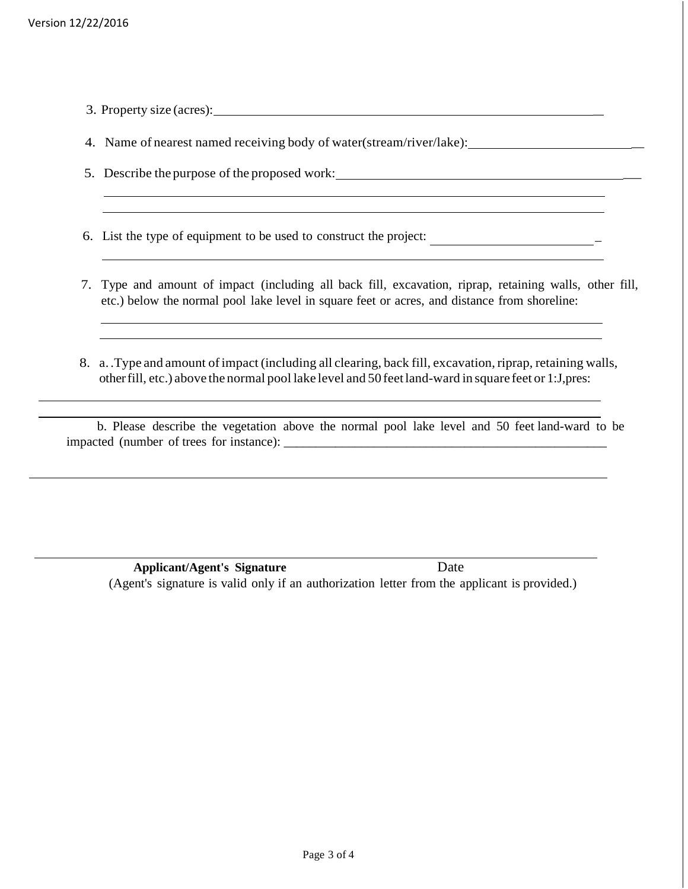3. Property size (acres): \_

4. Name of nearest named receiving body of water(stream/river/lake): \_

5. Describe the purpose of the proposed work: \_

6. List the type of equipment to be used to construct the project: \_

- 7. Type and amount of impact (including all back fill, excavation, riprap, retaining walls, other fill, etc.) below the normal pool lake level in square feet or acres, and distance from shoreline:
- 8. a. . Type and amount of impact (including all clearing, back fill, excavation, riprap, retaining walls, otherfill, etc.) above the normal pool lake level and 50 feetland-ward in square feet or 1:J,pres:

b. Please describe the vegetation above the normal pool lake level and 50 feet land-ward to be impacted (number of trees for instance): \_\_\_\_\_\_\_\_\_\_\_\_\_\_\_\_\_\_\_\_\_\_\_\_\_\_\_\_\_\_\_\_\_\_\_\_\_\_\_\_\_\_\_\_\_\_\_\_\_\_

 **Applicant/Agent's Signature** Date (Agent's signature is valid only if an authorization letter from the applicant is provided.)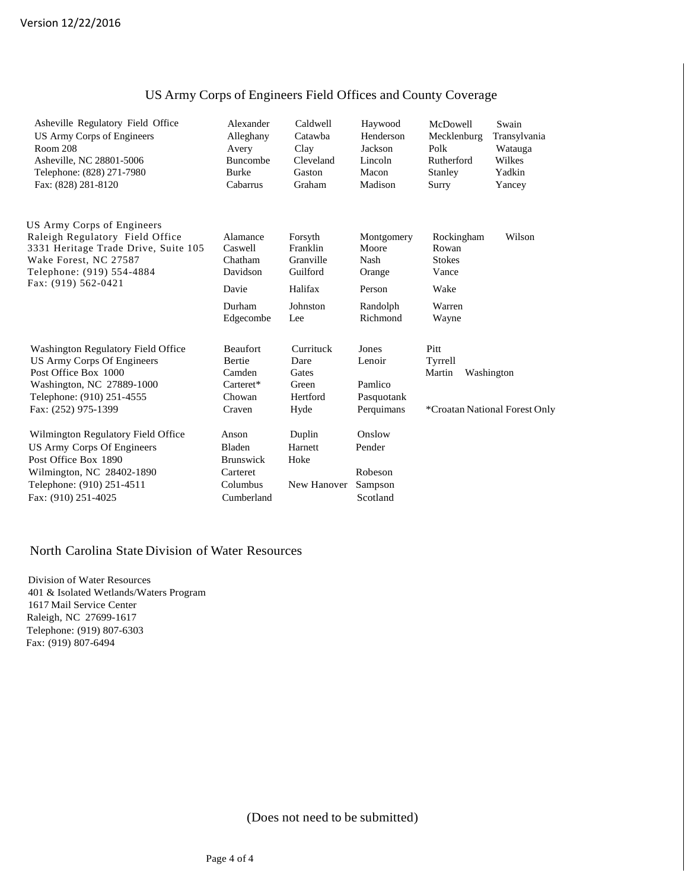| Asheville Regulatory Field Office<br>US Army Corps of Engineers<br><b>Room 208</b><br>Asheville, NC 28801-5006<br>Telephone: (828) 271-7980<br>Fax: (828) 281-8120        | Alexander<br>Alleghany<br>Avery<br><b>Buncombe</b><br><b>Burke</b><br>Cabarrus | Caldwell<br>Catawha<br>Clay<br>Cleveland<br>Gaston<br>Graham | Haywood<br>Henderson<br>Jackson<br>Lincoln<br>Macon<br>Madison | McDowell<br>Mecklenburg<br>Polk<br>Rutherford<br>Stanley<br>Surry        | Swain<br>Transylvania<br>Watauga<br>Wilkes<br>Yadkin<br>Yancey |
|---------------------------------------------------------------------------------------------------------------------------------------------------------------------------|--------------------------------------------------------------------------------|--------------------------------------------------------------|----------------------------------------------------------------|--------------------------------------------------------------------------|----------------------------------------------------------------|
| US Army Corps of Engineers<br>Raleigh Regulatory Field Office<br>3331 Heritage Trade Drive, Suite 105<br>Wake Forest, NC 27587<br>Telephone: (919) 554-4884               | Alamance<br>Caswell<br>Chatham<br>Davidson                                     | Forsyth<br>Franklin<br>Granville<br>Guilford                 | Montgomery<br>Moore<br>Nash<br>Orange                          | Rockingham<br>Rowan<br><b>Stokes</b><br>Vance                            | Wilson                                                         |
| Fax: (919) 562-0421                                                                                                                                                       | Davie                                                                          | Halifax                                                      | Person                                                         | Wake                                                                     |                                                                |
|                                                                                                                                                                           | Durham<br>Edgecombe                                                            | Johnston<br>Lee                                              | Randolph<br>Richmond                                           | Warren<br>Wayne                                                          |                                                                |
| Washington Regulatory Field Office<br>US Army Corps Of Engineers<br>Post Office Box 1000<br>Washington, NC 27889-1000<br>Telephone: (910) 251-4555<br>Fax: (252) 975-1399 | <b>Beaufort</b><br><b>Bertie</b><br>Camden<br>Carteret*<br>Chowan<br>Craven    | Currituck<br>Dare<br>Gates<br>Green<br>Hertford<br>Hyde      | Jones<br>Lenoir<br>Pamlico<br>Pasquotank<br>Perquimans         | Pitt<br>Tyrrell<br>Martin<br>Washington<br>*Croatan National Forest Only |                                                                |
| Wilmington Regulatory Field Office<br>US Army Corps Of Engineers<br>Post Office Box 1890<br>Wilmington, NC 28402-1890<br>Telephone: (910) 251-4511<br>Fax: (910) 251-4025 | Anson<br>Bladen<br><b>Brunswick</b><br>Carteret<br>Columbus<br>Cumberland      | Duplin<br>Harnett<br>Hoke<br>New Hanover                     | Onslow<br>Pender<br>Robeson<br>Sampson<br>Scotland             |                                                                          |                                                                |

## US Army Corps of Engineers Field Offices and County Coverage

#### North Carolina State Division of Water Resources

Division of Water Resources 401 & Isolated Wetlands/Waters Program 1617 Mail Service Center Raleigh, NC 27699-1617 Telephone: (919) 807-6303 Fax: (919) 807-6494

(Does not need to be submitted)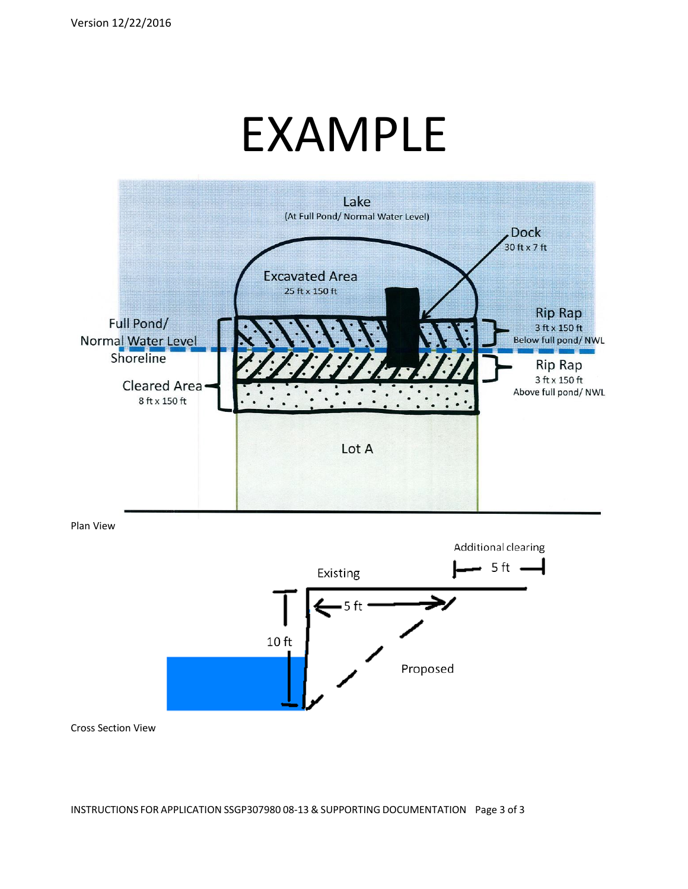# EXAMPLE



Plan View



Cross Section View